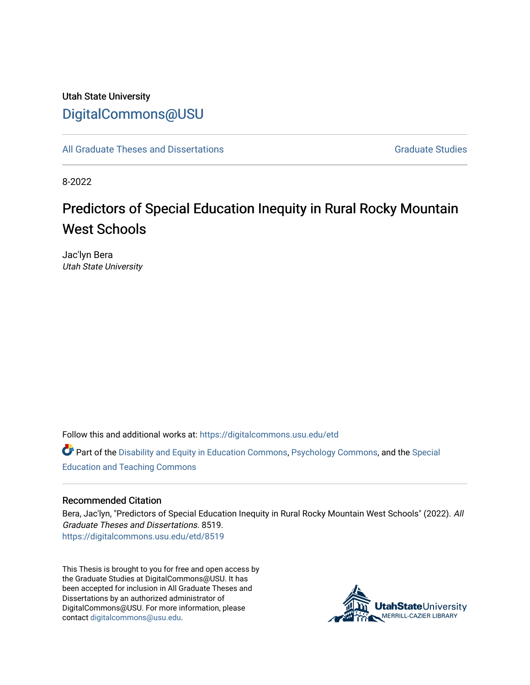# Utah State University [DigitalCommons@USU](https://digitalcommons.usu.edu/)

[All Graduate Theses and Dissertations](https://digitalcommons.usu.edu/etd) Contract Contract Contract Craduate Studies

8-2022

# Predictors of Special Education Inequity in Rural Rocky Mountain West Schools

Jac'lyn Bera Utah State University

Follow this and additional works at: [https://digitalcommons.usu.edu/etd](https://digitalcommons.usu.edu/etd?utm_source=digitalcommons.usu.edu%2Fetd%2F8519&utm_medium=PDF&utm_campaign=PDFCoverPages) 

Part of the [Disability and Equity in Education Commons](https://network.bepress.com/hgg/discipline/1040?utm_source=digitalcommons.usu.edu%2Fetd%2F8519&utm_medium=PDF&utm_campaign=PDFCoverPages), [Psychology Commons](https://network.bepress.com/hgg/discipline/404?utm_source=digitalcommons.usu.edu%2Fetd%2F8519&utm_medium=PDF&utm_campaign=PDFCoverPages), and the [Special](https://network.bepress.com/hgg/discipline/801?utm_source=digitalcommons.usu.edu%2Fetd%2F8519&utm_medium=PDF&utm_campaign=PDFCoverPages)  [Education and Teaching Commons](https://network.bepress.com/hgg/discipline/801?utm_source=digitalcommons.usu.edu%2Fetd%2F8519&utm_medium=PDF&utm_campaign=PDFCoverPages) 

#### Recommended Citation

Bera, Jac'lyn, "Predictors of Special Education Inequity in Rural Rocky Mountain West Schools" (2022). All Graduate Theses and Dissertations. 8519. [https://digitalcommons.usu.edu/etd/8519](https://digitalcommons.usu.edu/etd/8519?utm_source=digitalcommons.usu.edu%2Fetd%2F8519&utm_medium=PDF&utm_campaign=PDFCoverPages)

This Thesis is brought to you for free and open access by the Graduate Studies at DigitalCommons@USU. It has been accepted for inclusion in All Graduate Theses and Dissertations by an authorized administrator of DigitalCommons@USU. For more information, please contact [digitalcommons@usu.edu](mailto:digitalcommons@usu.edu).

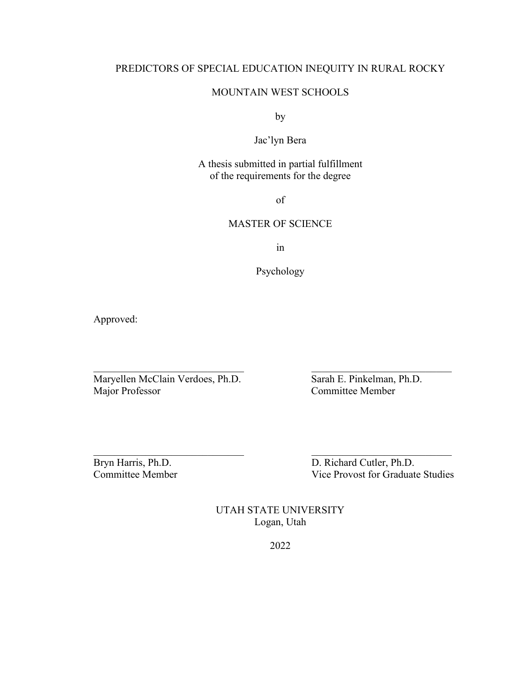# PREDICTORS OF SPECIAL EDUCATION INEQUITY IN RURAL ROCKY

# MOUNTAIN WEST SCHOOLS

by

# Jac'lyn Bera

# A thesis submitted in partial fulfillment of the requirements for the degree

of

## MASTER OF SCIENCE

in

Psychology

 $\frac{1}{2}$  ,  $\frac{1}{2}$  ,  $\frac{1}{2}$  ,  $\frac{1}{2}$  ,  $\frac{1}{2}$  ,  $\frac{1}{2}$  ,  $\frac{1}{2}$  ,  $\frac{1}{2}$  ,  $\frac{1}{2}$  ,  $\frac{1}{2}$  ,  $\frac{1}{2}$  ,  $\frac{1}{2}$  ,  $\frac{1}{2}$  ,  $\frac{1}{2}$  ,  $\frac{1}{2}$  ,  $\frac{1}{2}$  ,  $\frac{1}{2}$  ,  $\frac{1}{2}$  ,  $\frac{1$ 

Approved:

Maryellen McClain Verdoes, Ph.D.<br>
Major Professor Committee Member

Committee Member

Bryn Harris, Ph.D. D. D. Richard Cutler, Ph.D. Committee Member Vice Provost for Graduate Studies

> UTAH STATE UNIVERSITY Logan, Utah

> > 2022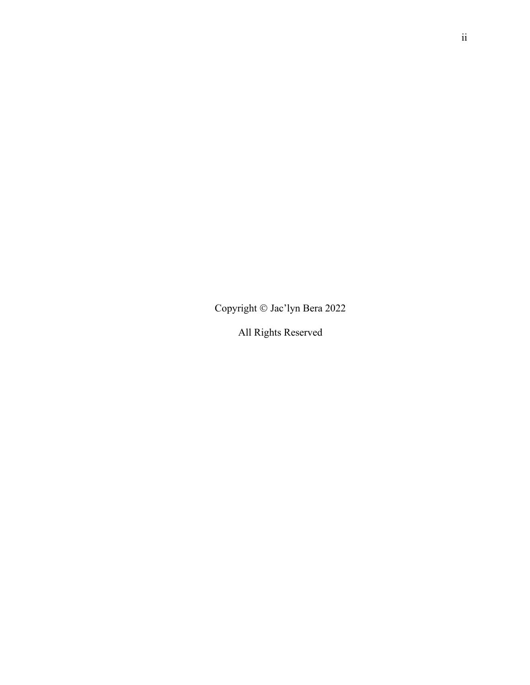Copyright © Jac'lyn Bera 2022

All Rights Reserved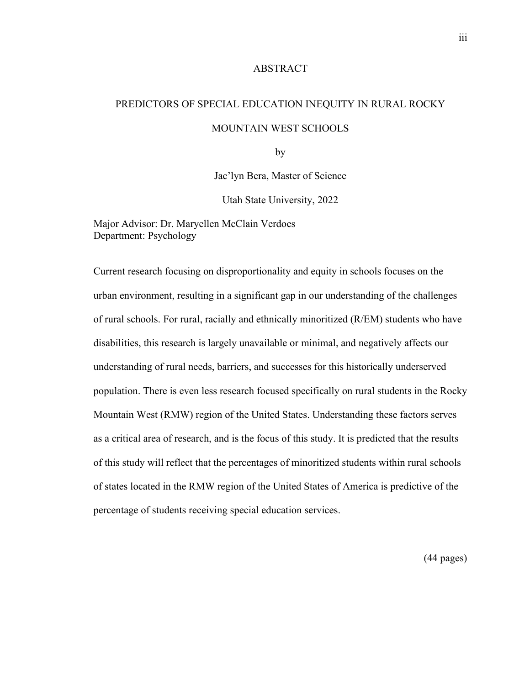#### ABSTRACT

# PREDICTORS OF SPECIAL EDUCATION INEQUITY IN RURAL ROCKY MOUNTAIN WEST SCHOOLS

by

Jac'lyn Bera, Master of Science

Utah State University, 2022

Major Advisor: Dr. Maryellen McClain Verdoes Department: Psychology

Current research focusing on disproportionality and equity in schools focuses on the urban environment, resulting in a significant gap in our understanding of the challenges of rural schools. For rural, racially and ethnically minoritized (R/EM) students who have disabilities, this research is largely unavailable or minimal, and negatively affects our understanding of rural needs, barriers, and successes for this historically underserved population. There is even less research focused specifically on rural students in the Rocky Mountain West (RMW) region of the United States. Understanding these factors serves as a critical area of research, and is the focus of this study. It is predicted that the results of this study will reflect that the percentages of minoritized students within rural schools of states located in the RMW region of the United States of America is predictive of the percentage of students receiving special education services.

(44 pages)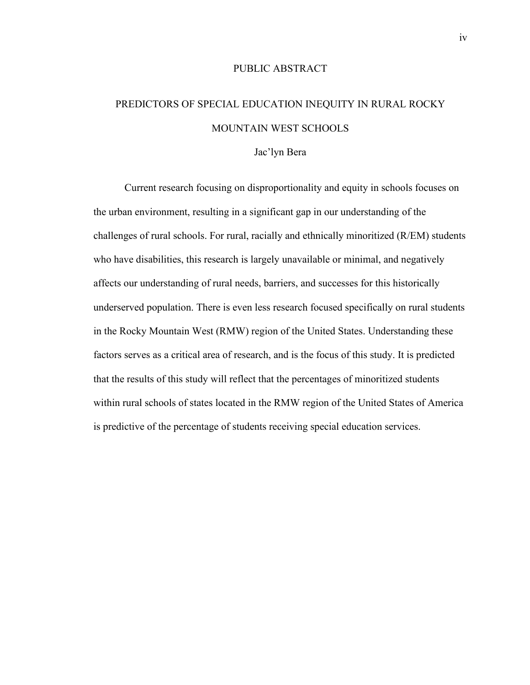# PUBLIC ABSTRACT

# PREDICTORS OF SPECIAL EDUCATION INEQUITY IN RURAL ROCKY MOUNTAIN WEST SCHOOLS

#### Jac'lyn Bera

Current research focusing on disproportionality and equity in schools focuses on the urban environment, resulting in a significant gap in our understanding of the challenges of rural schools. For rural, racially and ethnically minoritized (R/EM) students who have disabilities, this research is largely unavailable or minimal, and negatively affects our understanding of rural needs, barriers, and successes for this historically underserved population. There is even less research focused specifically on rural students in the Rocky Mountain West (RMW) region of the United States. Understanding these factors serves as a critical area of research, and is the focus of this study. It is predicted that the results of this study will reflect that the percentages of minoritized students within rural schools of states located in the RMW region of the United States of America is predictive of the percentage of students receiving special education services.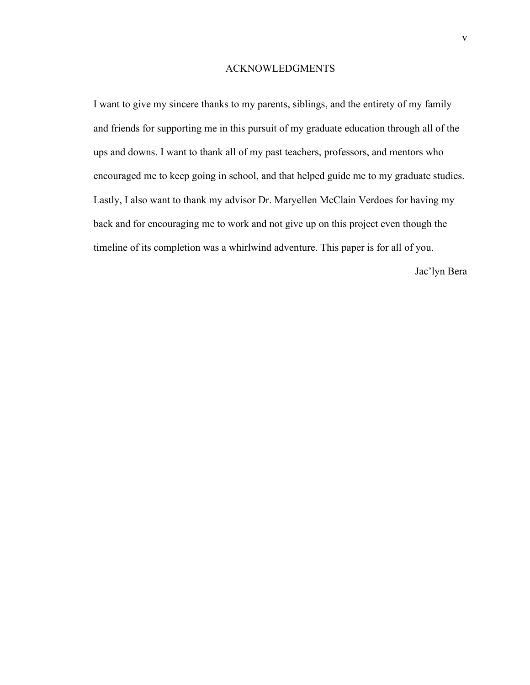#### ACKNOWLEDGMENTS

I want to give my sincere thanks to my parents, siblings, and the entirety of my family and friends for supporting me in this pursuit of my graduate education through all of the ups and downs. I want to thank all of my past teachers, professors, and mentors who encouraged me to keep going in school, and that helped guide me to my graduate studies. Lastly, I also want to thank my advisor Dr. Maryellen McClain Verdoes for having my back and for encouraging me to work and not give up on this project even though the timeline of its completion was a whirlwind adventure. This paper is for all of you.

Jac'lyn Bera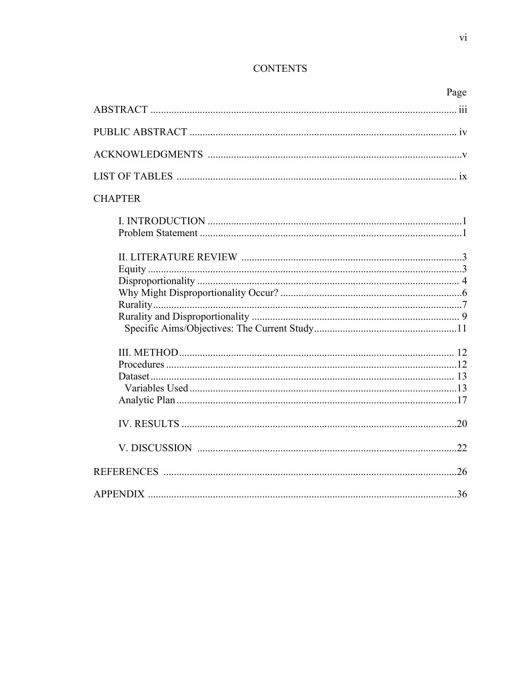# **CONTENTS**

|                | Page |
|----------------|------|
|                |      |
|                |      |
|                |      |
|                |      |
| <b>CHAPTER</b> |      |
|                |      |
|                |      |
|                |      |
|                |      |
|                |      |
|                |      |
|                |      |
|                |      |
|                |      |
|                |      |
|                |      |
|                |      |
|                |      |
|                |      |
|                |      |
|                |      |
|                |      |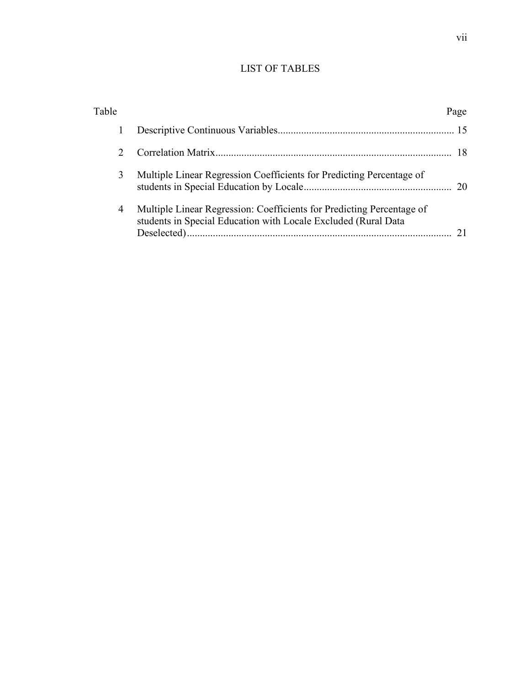# LIST OF TABLES

| Table         |                                                                                                                                         | Page |
|---------------|-----------------------------------------------------------------------------------------------------------------------------------------|------|
| 1             |                                                                                                                                         |      |
| $\mathcal{D}$ |                                                                                                                                         |      |
| 3             | Multiple Linear Regression Coefficients for Predicting Percentage of                                                                    |      |
| 4             | Multiple Linear Regression: Coefficients for Predicting Percentage of<br>students in Special Education with Locale Excluded (Rural Data |      |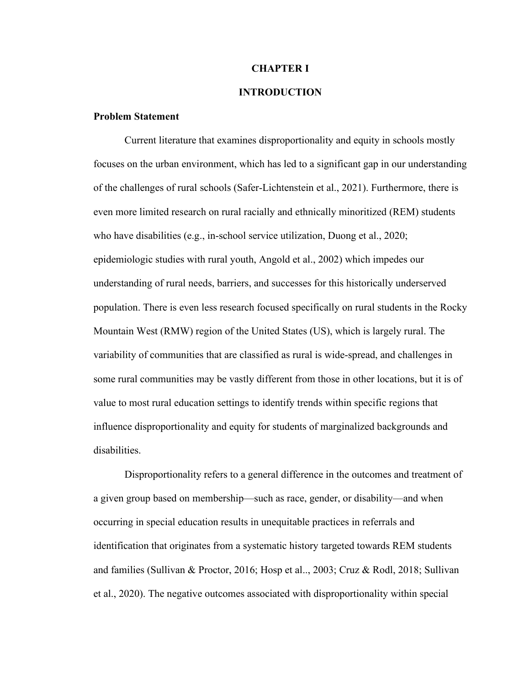#### **CHAPTER I**

# **INTRODUCTION**

## **Problem Statement**

Current literature that examines disproportionality and equity in schools mostly focuses on the urban environment, which has led to a significant gap in our understanding of the challenges of rural schools (Safer-Lichtenstein et al., 2021). Furthermore, there is even more limited research on rural racially and ethnically minoritized (REM) students who have disabilities (e.g., in-school service utilization, Duong et al., 2020; epidemiologic studies with rural youth, Angold et al., 2002) which impedes our understanding of rural needs, barriers, and successes for this historically underserved population. There is even less research focused specifically on rural students in the Rocky Mountain West (RMW) region of the United States (US), which is largely rural. The variability of communities that are classified as rural is wide-spread, and challenges in some rural communities may be vastly different from those in other locations, but it is of value to most rural education settings to identify trends within specific regions that influence disproportionality and equity for students of marginalized backgrounds and disabilities.

Disproportionality refers to a general difference in the outcomes and treatment of a given group based on membership—such as race, gender, or disability—and when occurring in special education results in unequitable practices in referrals and identification that originates from a systematic history targeted towards REM students and families (Sullivan & Proctor, 2016; Hosp et al.., 2003; Cruz & Rodl, 2018; Sullivan et al., 2020). The negative outcomes associated with disproportionality within special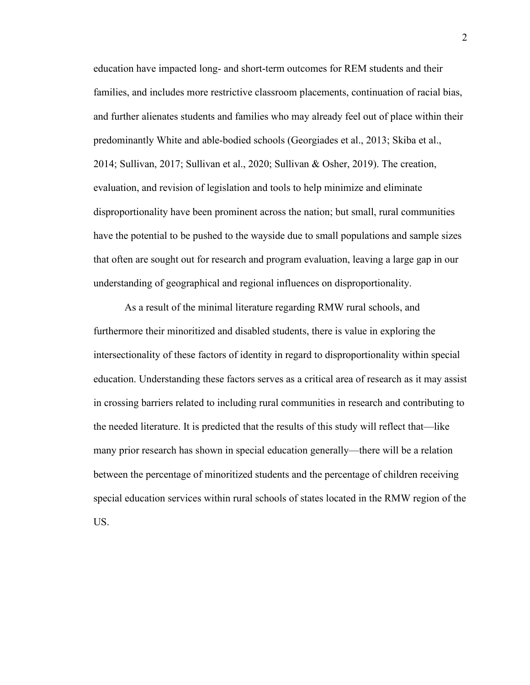education have impacted long- and short-term outcomes for REM students and their families, and includes more restrictive classroom placements, continuation of racial bias, and further alienates students and families who may already feel out of place within their predominantly White and able-bodied schools (Georgiades et al., 2013; Skiba et al., 2014; Sullivan, 2017; Sullivan et al., 2020; Sullivan & Osher, 2019). The creation, evaluation, and revision of legislation and tools to help minimize and eliminate disproportionality have been prominent across the nation; but small, rural communities have the potential to be pushed to the wayside due to small populations and sample sizes that often are sought out for research and program evaluation, leaving a large gap in our understanding of geographical and regional influences on disproportionality.

As a result of the minimal literature regarding RMW rural schools, and furthermore their minoritized and disabled students, there is value in exploring the intersectionality of these factors of identity in regard to disproportionality within special education. Understanding these factors serves as a critical area of research as it may assist in crossing barriers related to including rural communities in research and contributing to the needed literature. It is predicted that the results of this study will reflect that—like many prior research has shown in special education generally—there will be a relation between the percentage of minoritized students and the percentage of children receiving special education services within rural schools of states located in the RMW region of the US.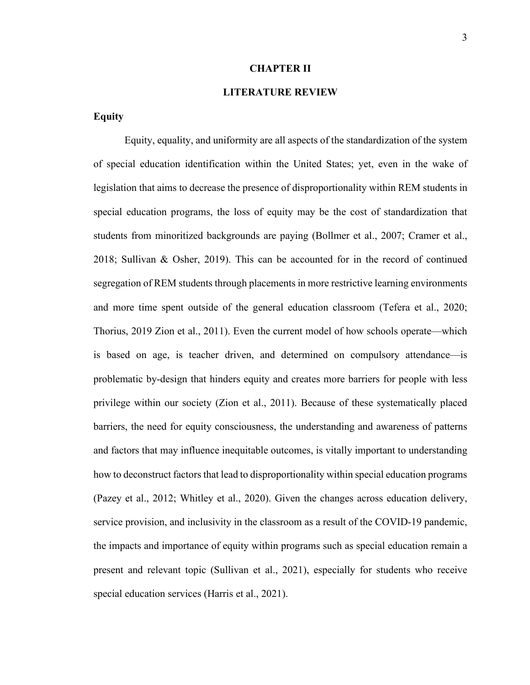#### **CHAPTER II**

# **LITERATURE REVIEW**

### **Equity**

Equity, equality, and uniformity are all aspects of the standardization of the system of special education identification within the United States; yet, even in the wake of legislation that aims to decrease the presence of disproportionality within REM students in special education programs, the loss of equity may be the cost of standardization that students from minoritized backgrounds are paying (Bollmer et al., 2007; Cramer et al., 2018; Sullivan & Osher, 2019). This can be accounted for in the record of continued segregation of REM students through placements in more restrictive learning environments and more time spent outside of the general education classroom (Tefera et al., 2020; Thorius, 2019 Zion et al., 2011). Even the current model of how schools operate—which is based on age, is teacher driven, and determined on compulsory attendance—is problematic by-design that hinders equity and creates more barriers for people with less privilege within our society (Zion et al., 2011). Because of these systematically placed barriers, the need for equity consciousness, the understanding and awareness of patterns and factors that may influence inequitable outcomes, is vitally important to understanding how to deconstruct factors that lead to disproportionality within special education programs (Pazey et al., 2012; Whitley et al., 2020). Given the changes across education delivery, service provision, and inclusivity in the classroom as a result of the COVID-19 pandemic, the impacts and importance of equity within programs such as special education remain a present and relevant topic (Sullivan et al., 2021), especially for students who receive special education services (Harris et al., 2021).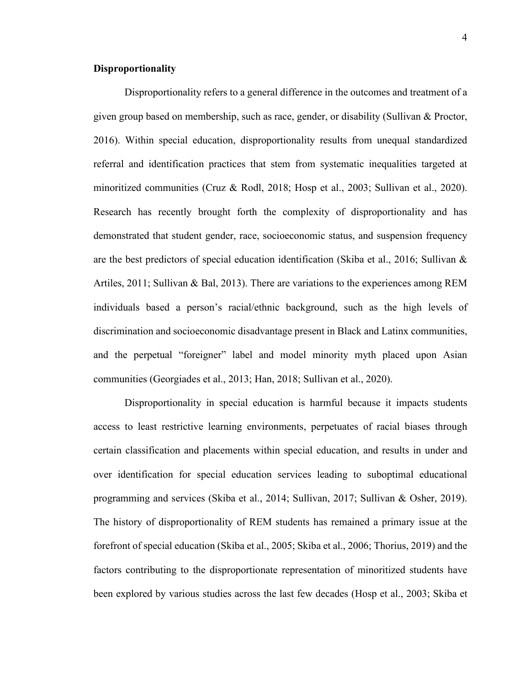### **Disproportionality**

Disproportionality refers to a general difference in the outcomes and treatment of a given group based on membership, such as race, gender, or disability (Sullivan & Proctor, 2016). Within special education, disproportionality results from unequal standardized referral and identification practices that stem from systematic inequalities targeted at minoritized communities (Cruz & Rodl, 2018; Hosp et al., 2003; Sullivan et al., 2020). Research has recently brought forth the complexity of disproportionality and has demonstrated that student gender, race, socioeconomic status, and suspension frequency are the best predictors of special education identification (Skiba et al., 2016; Sullivan & Artiles, 2011; Sullivan & Bal, 2013). There are variations to the experiences among REM individuals based a person's racial/ethnic background, such as the high levels of discrimination and socioeconomic disadvantage present in Black and Latinx communities, and the perpetual "foreigner" label and model minority myth placed upon Asian communities (Georgiades et al., 2013; Han, 2018; Sullivan et al., 2020).

Disproportionality in special education is harmful because it impacts students access to least restrictive learning environments, perpetuates of racial biases through certain classification and placements within special education, and results in under and over identification for special education services leading to suboptimal educational programming and services (Skiba et al., 2014; Sullivan, 2017; Sullivan & Osher, 2019). The history of disproportionality of REM students has remained a primary issue at the forefront of special education (Skiba et al., 2005; Skiba et al., 2006; Thorius, 2019) and the factors contributing to the disproportionate representation of minoritized students have been explored by various studies across the last few decades (Hosp et al., 2003; Skiba et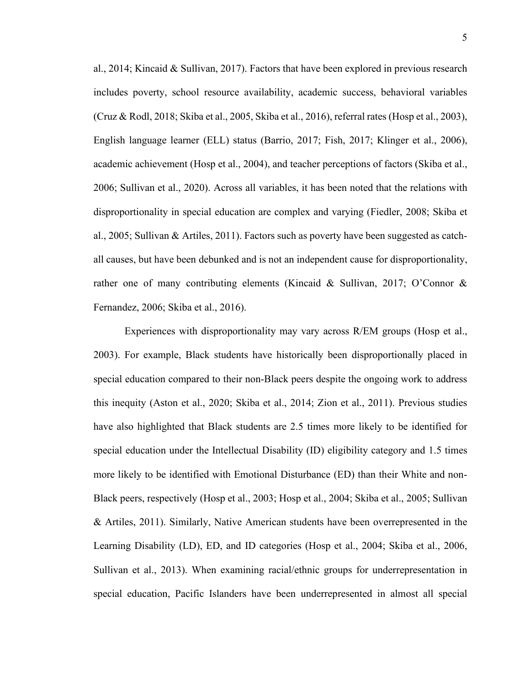al., 2014; Kincaid & Sullivan, 2017). Factors that have been explored in previous research includes poverty, school resource availability, academic success, behavioral variables (Cruz & Rodl, 2018; Skiba et al., 2005, Skiba et al., 2016), referral rates (Hosp et al., 2003), English language learner (ELL) status (Barrio, 2017; Fish, 2017; Klinger et al., 2006), academic achievement (Hosp et al., 2004), and teacher perceptions of factors (Skiba et al., 2006; Sullivan et al., 2020). Across all variables, it has been noted that the relations with disproportionality in special education are complex and varying (Fiedler, 2008; Skiba et al., 2005; Sullivan & Artiles, 2011). Factors such as poverty have been suggested as catchall causes, but have been debunked and is not an independent cause for disproportionality, rather one of many contributing elements (Kincaid & Sullivan, 2017; O'Connor & Fernandez, 2006; Skiba et al., 2016).

Experiences with disproportionality may vary across R/EM groups (Hosp et al., 2003). For example, Black students have historically been disproportionally placed in special education compared to their non-Black peers despite the ongoing work to address this inequity (Aston et al., 2020; Skiba et al., 2014; Zion et al., 2011). Previous studies have also highlighted that Black students are 2.5 times more likely to be identified for special education under the Intellectual Disability (ID) eligibility category and 1.5 times more likely to be identified with Emotional Disturbance (ED) than their White and non-Black peers, respectively (Hosp et al., 2003; Hosp et al., 2004; Skiba et al., 2005; Sullivan & Artiles, 2011). Similarly, Native American students have been overrepresented in the Learning Disability (LD), ED, and ID categories (Hosp et al., 2004; Skiba et al., 2006, Sullivan et al., 2013). When examining racial/ethnic groups for underrepresentation in special education, Pacific Islanders have been underrepresented in almost all special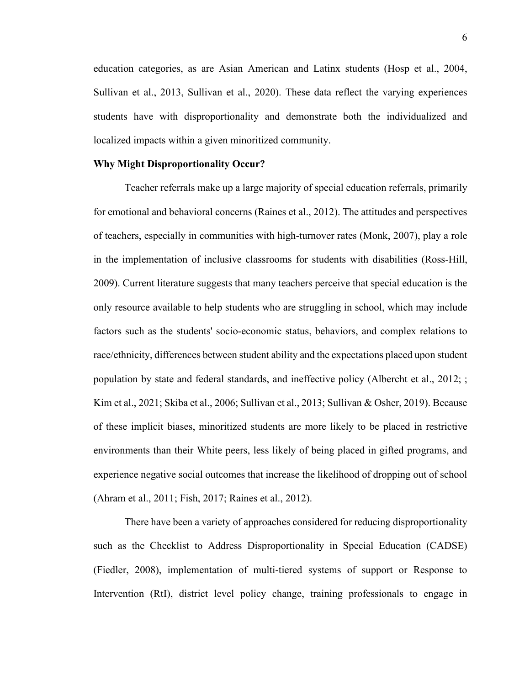education categories, as are Asian American and Latinx students (Hosp et al., 2004, Sullivan et al., 2013, Sullivan et al., 2020). These data reflect the varying experiences students have with disproportionality and demonstrate both the individualized and localized impacts within a given minoritized community.

#### **Why Might Disproportionality Occur?**

Teacher referrals make up a large majority of special education referrals, primarily for emotional and behavioral concerns (Raines et al., 2012). The attitudes and perspectives of teachers, especially in communities with high-turnover rates (Monk, 2007), play a role in the implementation of inclusive classrooms for students with disabilities (Ross-Hill, 2009). Current literature suggests that many teachers perceive that special education is the only resource available to help students who are struggling in school, which may include factors such as the students' socio-economic status, behaviors, and complex relations to race/ethnicity, differences between student ability and the expectations placed upon student population by state and federal standards, and ineffective policy (Albercht et al., 2012; ; Kim et al., 2021; Skiba et al., 2006; Sullivan et al., 2013; Sullivan & Osher, 2019). Because of these implicit biases, minoritized students are more likely to be placed in restrictive environments than their White peers, less likely of being placed in gifted programs, and experience negative social outcomes that increase the likelihood of dropping out of school (Ahram et al., 2011; Fish, 2017; Raines et al., 2012).

There have been a variety of approaches considered for reducing disproportionality such as the Checklist to Address Disproportionality in Special Education (CADSE) (Fiedler, 2008), implementation of multi-tiered systems of support or Response to Intervention (RtI), district level policy change, training professionals to engage in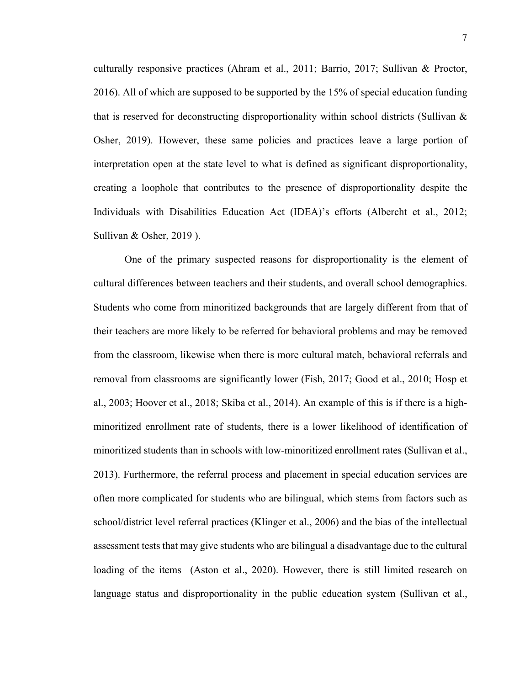culturally responsive practices (Ahram et al., 2011; Barrio, 2017; Sullivan & Proctor, 2016). All of which are supposed to be supported by the 15% of special education funding that is reserved for deconstructing disproportionality within school districts (Sullivan  $\&$ Osher, 2019). However, these same policies and practices leave a large portion of interpretation open at the state level to what is defined as significant disproportionality, creating a loophole that contributes to the presence of disproportionality despite the Individuals with Disabilities Education Act (IDEA)'s efforts (Albercht et al., 2012; Sullivan & Osher, 2019 ).

One of the primary suspected reasons for disproportionality is the element of cultural differences between teachers and their students, and overall school demographics. Students who come from minoritized backgrounds that are largely different from that of their teachers are more likely to be referred for behavioral problems and may be removed from the classroom, likewise when there is more cultural match, behavioral referrals and removal from classrooms are significantly lower (Fish, 2017; Good et al., 2010; Hosp et al., 2003; Hoover et al., 2018; Skiba et al., 2014). An example of this is if there is a highminoritized enrollment rate of students, there is a lower likelihood of identification of minoritized students than in schools with low-minoritized enrollment rates (Sullivan et al., 2013). Furthermore, the referral process and placement in special education services are often more complicated for students who are bilingual, which stems from factors such as school/district level referral practices (Klinger et al., 2006) and the bias of the intellectual assessment tests that may give students who are bilingual a disadvantage due to the cultural loading of the items (Aston et al., 2020). However, there is still limited research on language status and disproportionality in the public education system (Sullivan et al.,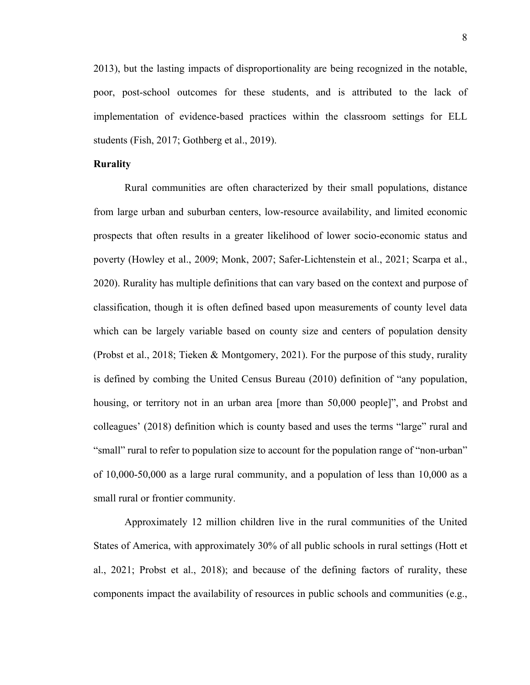2013), but the lasting impacts of disproportionality are being recognized in the notable, poor, post-school outcomes for these students, and is attributed to the lack of implementation of evidence-based practices within the classroom settings for ELL students (Fish, 2017; Gothberg et al., 2019).

#### **Rurality**

Rural communities are often characterized by their small populations, distance from large urban and suburban centers, low-resource availability, and limited economic prospects that often results in a greater likelihood of lower socio-economic status and poverty (Howley et al., 2009; Monk, 2007; Safer-Lichtenstein et al., 2021; Scarpa et al., 2020). Rurality has multiple definitions that can vary based on the context and purpose of classification, though it is often defined based upon measurements of county level data which can be largely variable based on county size and centers of population density (Probst et al., 2018; Tieken & Montgomery, 2021). For the purpose of this study, rurality is defined by combing the United Census Bureau (2010) definition of "any population, housing, or territory not in an urban area [more than 50,000 people]", and Probst and colleagues' (2018) definition which is county based and uses the terms "large" rural and "small" rural to refer to population size to account for the population range of "non-urban" of 10,000-50,000 as a large rural community, and a population of less than 10,000 as a small rural or frontier community.

Approximately 12 million children live in the rural communities of the United States of America, with approximately 30% of all public schools in rural settings (Hott et al., 2021; Probst et al., 2018); and because of the defining factors of rurality, these components impact the availability of resources in public schools and communities (e.g.,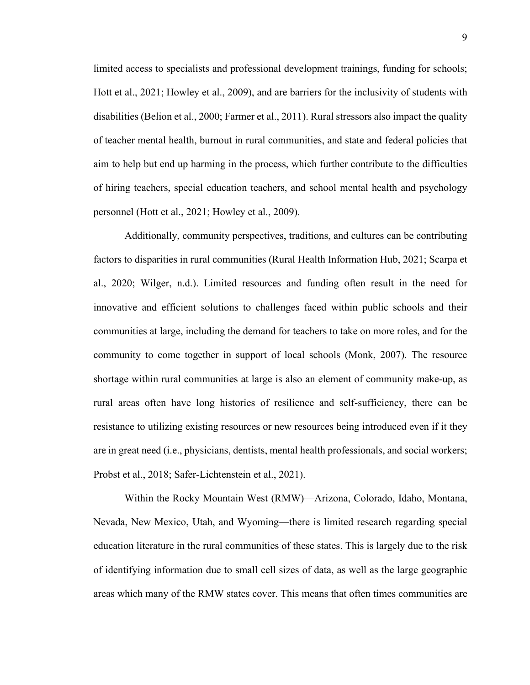limited access to specialists and professional development trainings, funding for schools; Hott et al., 2021; Howley et al., 2009), and are barriers for the inclusivity of students with disabilities (Belion et al., 2000; Farmer et al., 2011). Rural stressors also impact the quality of teacher mental health, burnout in rural communities, and state and federal policies that aim to help but end up harming in the process, which further contribute to the difficulties of hiring teachers, special education teachers, and school mental health and psychology personnel (Hott et al., 2021; Howley et al., 2009).

Additionally, community perspectives, traditions, and cultures can be contributing factors to disparities in rural communities (Rural Health Information Hub, 2021; Scarpa et al., 2020; Wilger, n.d.). Limited resources and funding often result in the need for innovative and efficient solutions to challenges faced within public schools and their communities at large, including the demand for teachers to take on more roles, and for the community to come together in support of local schools (Monk, 2007). The resource shortage within rural communities at large is also an element of community make-up, as rural areas often have long histories of resilience and self-sufficiency, there can be resistance to utilizing existing resources or new resources being introduced even if it they are in great need (i.e., physicians, dentists, mental health professionals, and social workers; Probst et al., 2018; Safer-Lichtenstein et al., 2021).

Within the Rocky Mountain West (RMW)—Arizona, Colorado, Idaho, Montana, Nevada, New Mexico, Utah, and Wyoming—there is limited research regarding special education literature in the rural communities of these states. This is largely due to the risk of identifying information due to small cell sizes of data, as well as the large geographic areas which many of the RMW states cover. This means that often times communities are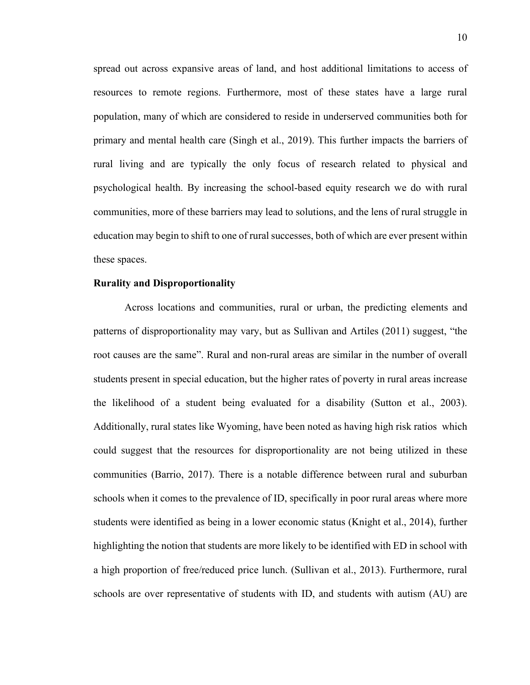spread out across expansive areas of land, and host additional limitations to access of resources to remote regions. Furthermore, most of these states have a large rural population, many of which are considered to reside in underserved communities both for primary and mental health care (Singh et al., 2019). This further impacts the barriers of rural living and are typically the only focus of research related to physical and psychological health. By increasing the school-based equity research we do with rural communities, more of these barriers may lead to solutions, and the lens of rural struggle in education may begin to shift to one of rural successes, both of which are ever present within these spaces.

#### **Rurality and Disproportionality**

Across locations and communities, rural or urban, the predicting elements and patterns of disproportionality may vary, but as Sullivan and Artiles (2011) suggest, "the root causes are the same". Rural and non-rural areas are similar in the number of overall students present in special education, but the higher rates of poverty in rural areas increase the likelihood of a student being evaluated for a disability (Sutton et al., 2003). Additionally, rural states like Wyoming, have been noted as having high risk ratios which could suggest that the resources for disproportionality are not being utilized in these communities (Barrio, 2017). There is a notable difference between rural and suburban schools when it comes to the prevalence of ID, specifically in poor rural areas where more students were identified as being in a lower economic status (Knight et al., 2014), further highlighting the notion that students are more likely to be identified with ED in school with a high proportion of free/reduced price lunch. (Sullivan et al., 2013). Furthermore, rural schools are over representative of students with ID, and students with autism (AU) are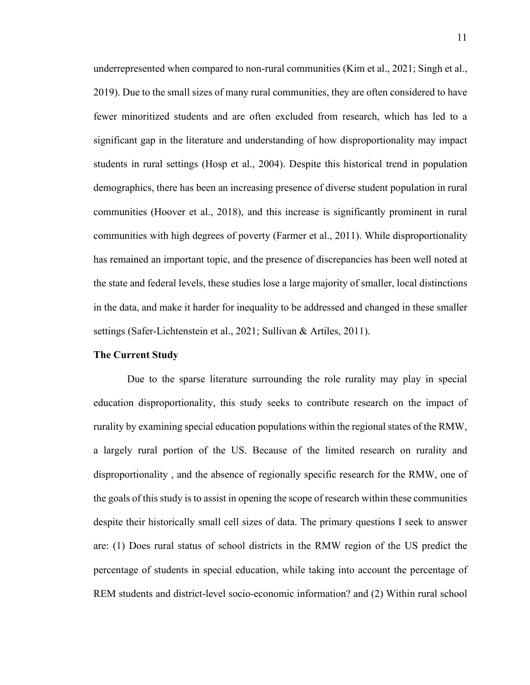underrepresented when compared to non-rural communities (Kim et al., 2021; Singh et al., 2019). Due to the small sizes of many rural communities, they are often considered to have fewer minoritized students and are often excluded from research, which has led to a significant gap in the literature and understanding of how disproportionality may impact students in rural settings (Hosp et al., 2004). Despite this historical trend in population demographics, there has been an increasing presence of diverse student population in rural communities (Hoover et al., 2018), and this increase is significantly prominent in rural communities with high degrees of poverty (Farmer et al., 2011). While disproportionality has remained an important topic, and the presence of discrepancies has been well noted at the state and federal levels, these studies lose a large majority of smaller, local distinctions in the data, and make it harder for inequality to be addressed and changed in these smaller settings (Safer-Lichtenstein et al., 2021; Sullivan & Artiles, 2011).

#### **The Current Study**

Due to the sparse literature surrounding the role rurality may play in special education disproportionality, this study seeks to contribute research on the impact of rurality by examining special education populations within the regional states of the RMW, a largely rural portion of the US. Because of the limited research on rurality and disproportionality , and the absence of regionally specific research for the RMW, one of the goals of this study is to assist in opening the scope of research within these communities despite their historically small cell sizes of data. The primary questions I seek to answer are: (1) Does rural status of school districts in the RMW region of the US predict the percentage of students in special education, while taking into account the percentage of REM students and district-level socio-economic information? and (2) Within rural school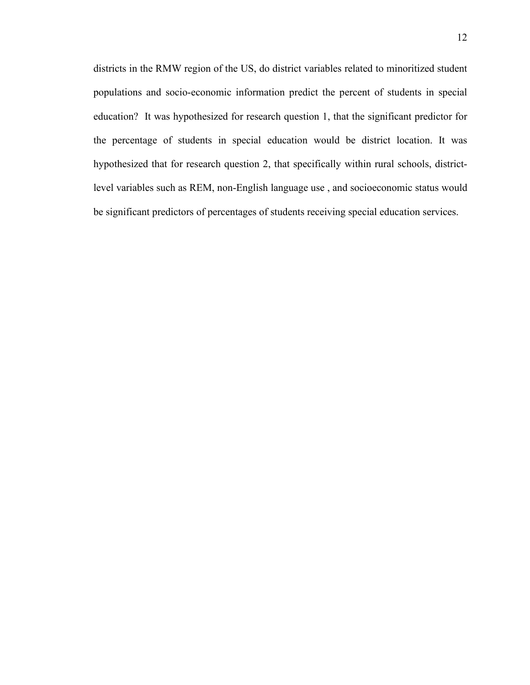districts in the RMW region of the US, do district variables related to minoritized student populations and socio-economic information predict the percent of students in special education? It was hypothesized for research question 1, that the significant predictor for the percentage of students in special education would be district location. It was hypothesized that for research question 2, that specifically within rural schools, districtlevel variables such as REM, non-English language use , and socioeconomic status would be significant predictors of percentages of students receiving special education services.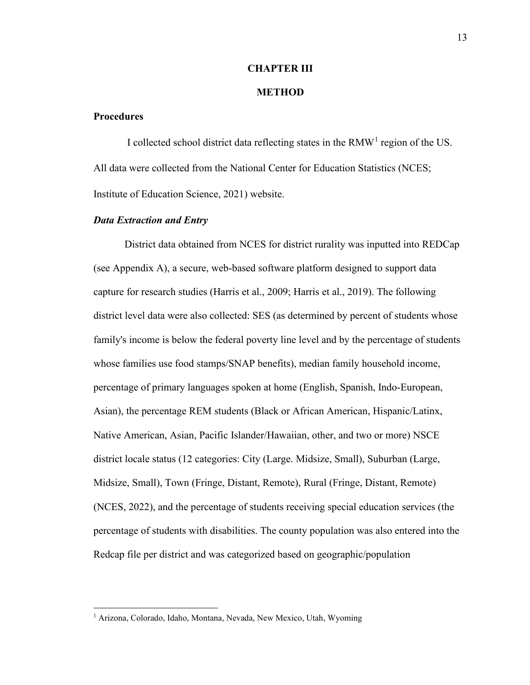#### **CHAPTER III**

#### **METHOD**

# **Procedures**

I collected school district data reflecting states in the RMW<sup>[1](#page-20-0)</sup> region of the US. All data were collected from the National Center for Education Statistics (NCES; Institute of Education Science, 2021) website.

#### *Data Extraction and Entry*

District data obtained from NCES for district rurality was inputted into REDCap (see Appendix A), a secure, web-based software platform designed to support data capture for research studies (Harris et al., 2009; Harris et al., 2019). The following district level data were also collected: SES (as determined by percent of students whose family's income is below the federal poverty line level and by the percentage of students whose families use food stamps/SNAP benefits), median family household income, percentage of primary languages spoken at home (English, Spanish, Indo-European, Asian), the percentage REM students (Black or African American, Hispanic/Latinx, Native American, Asian, Pacific Islander/Hawaiian, other, and two or more) NSCE district locale status (12 categories: City (Large. Midsize, Small), Suburban (Large, Midsize, Small), Town (Fringe, Distant, Remote), Rural (Fringe, Distant, Remote) (NCES, 2022), and the percentage of students receiving special education services (the percentage of students with disabilities. The county population was also entered into the Redcap file per district and was categorized based on geographic/population

<span id="page-20-0"></span><sup>&</sup>lt;sup>1</sup> Arizona, Colorado, Idaho, Montana, Nevada, New Mexico, Utah, Wyoming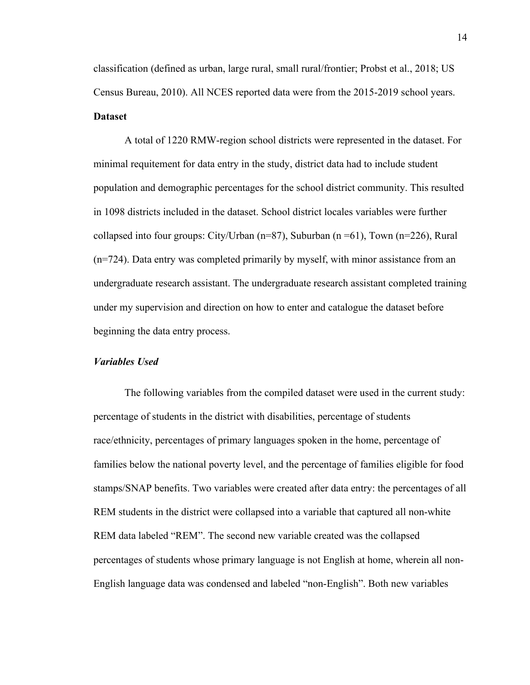classification (defined as urban, large rural, small rural/frontier; Probst et al., 2018; US Census Bureau, 2010). All NCES reported data were from the 2015-2019 school years. **Dataset**

A total of 1220 RMW-region school districts were represented in the dataset. For minimal requitement for data entry in the study, district data had to include student population and demographic percentages for the school district community. This resulted in 1098 districts included in the dataset. School district locales variables were further collapsed into four groups: City/Urban ( $n=87$ ), Suburban ( $n=61$ ), Town ( $n=226$ ), Rural (n=724). Data entry was completed primarily by myself, with minor assistance from an undergraduate research assistant. The undergraduate research assistant completed training under my supervision and direction on how to enter and catalogue the dataset before beginning the data entry process.

#### *Variables Used*

The following variables from the compiled dataset were used in the current study: percentage of students in the district with disabilities, percentage of students race/ethnicity, percentages of primary languages spoken in the home, percentage of families below the national poverty level, and the percentage of families eligible for food stamps/SNAP benefits. Two variables were created after data entry: the percentages of all REM students in the district were collapsed into a variable that captured all non-white REM data labeled "REM". The second new variable created was the collapsed percentages of students whose primary language is not English at home, wherein all non-English language data was condensed and labeled "non-English". Both new variables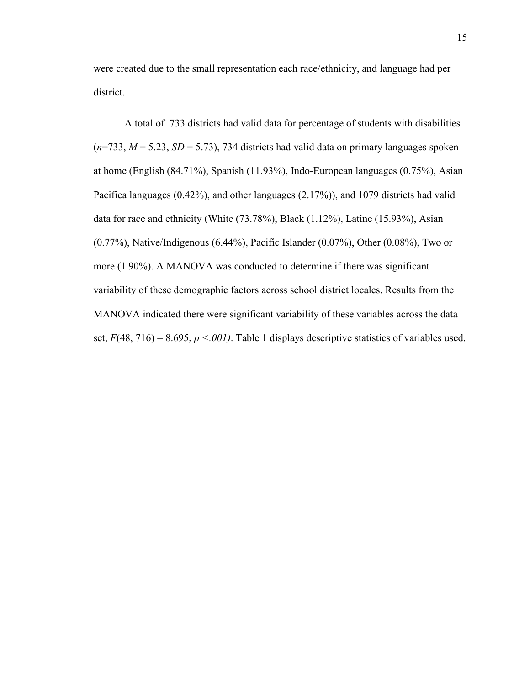were created due to the small representation each race/ethnicity, and language had per district.

A total of 733 districts had valid data for percentage of students with disabilities  $(n=733, M=5.23, SD=5.73)$ , 734 districts had valid data on primary languages spoken at home (English (84.71%), Spanish (11.93%), Indo-European languages (0.75%), Asian Pacifica languages (0.42%), and other languages (2.17%)), and 1079 districts had valid data for race and ethnicity (White (73.78%), Black (1.12%), Latine (15.93%), Asian (0.77%), Native/Indigenous (6.44%), Pacific Islander (0.07%), Other (0.08%), Two or more (1.90%). A MANOVA was conducted to determine if there was significant variability of these demographic factors across school district locales. Results from the MANOVA indicated there were significant variability of these variables across the data set,  $F(48, 716) = 8.695$ ,  $p \le 0.001$ . Table 1 displays descriptive statistics of variables used.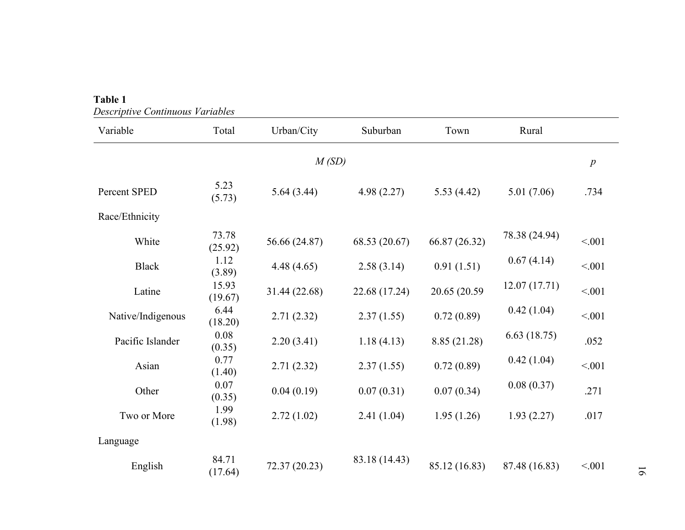| Variable          | Total            | Urban/City    | Suburban      | Town          | Rural         |                  |
|-------------------|------------------|---------------|---------------|---------------|---------------|------------------|
|                   |                  | M(SD)         |               |               |               | $\boldsymbol{p}$ |
| Percent SPED      | 5.23<br>(5.73)   | 5.64(3.44)    | 4.98(2.27)    | 5.53(4.42)    | 5.01(7.06)    | .734             |
| Race/Ethnicity    |                  |               |               |               |               |                  |
| White             | 73.78<br>(25.92) | 56.66 (24.87) | 68.53 (20.67) | 66.87 (26.32) | 78.38 (24.94) | < 0.01           |
| <b>Black</b>      | 1.12<br>(3.89)   | 4.48(4.65)    | 2.58(3.14)    | 0.91(1.51)    | 0.67(4.14)    | < 0.01           |
| Latine            | 15.93<br>(19.67) | 31.44 (22.68) | 22.68 (17.24) | 20.65 (20.59) | 12.07(17.71)  | < 0.01           |
| Native/Indigenous | 6.44<br>(18.20)  | 2.71(2.32)    | 2.37(1.55)    | 0.72(0.89)    | 0.42(1.04)    | < 0.01           |
| Pacific Islander  | 0.08<br>(0.35)   | 2.20(3.41)    | 1.18(4.13)    | 8.85 (21.28)  | 6.63(18.75)   | .052             |
| Asian             | 0.77<br>(1.40)   | 2.71(2.32)    | 2.37(1.55)    | 0.72(0.89)    | 0.42(1.04)    | < .001           |
| Other             | 0.07<br>(0.35)   | 0.04(0.19)    | 0.07(0.31)    | 0.07(0.34)    | 0.08(0.37)    | .271             |
| Two or More       | 1.99<br>(1.98)   | 2.72(1.02)    | 2.41(1.04)    | 1.95(1.26)    | 1.93(2.27)    | .017             |
| Language          |                  |               |               |               |               |                  |
| English           | 84.71<br>(17.64) | 72.37 (20.23) | 83.18 (14.43) | 85.12 (16.83) | 87.48 (16.83) | < 0.01           |

# **Table 1** *Descriptive Continuous Variables*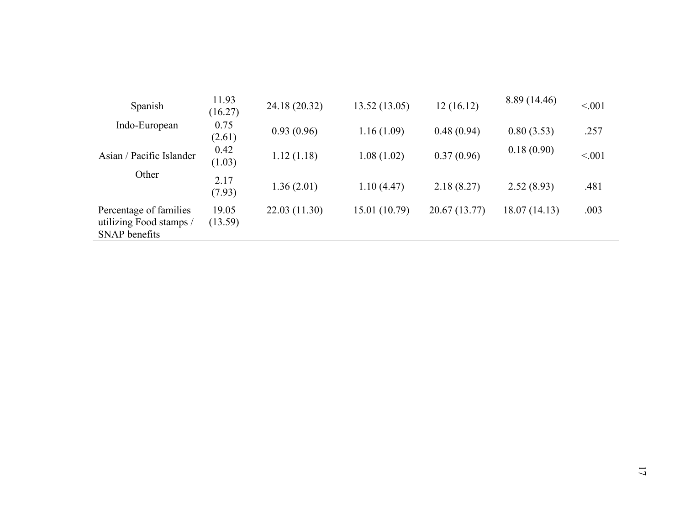| Spanish                                                            | 11.93<br>(16.27) | 24.18 (20.32) | 13.52(13.05)  | 12(16.12)     | 8.89 (14.46)  | < 0.01 |
|--------------------------------------------------------------------|------------------|---------------|---------------|---------------|---------------|--------|
| Indo-European                                                      | 0.75<br>(2.61)   | 0.93(0.96)    | 1.16(1.09)    | 0.48(0.94)    | 0.80(3.53)    | .257   |
| Asian / Pacific Islander                                           | 0.42<br>(1.03)   | 1.12(1.18)    | 1.08(1.02)    | 0.37(0.96)    | 0.18(0.90)    | < 0.01 |
| Other                                                              | 2.17<br>(7.93)   | 1.36(2.01)    | 1.10(4.47)    | 2.18(8.27)    | 2.52(8.93)    | .481   |
| Percentage of families<br>utilizing Food stamps /<br>SNAP benefits | 19.05<br>(13.59) | 22.03 (11.30) | 15.01 (10.79) | 20.67 (13.77) | 18.07 (14.13) | .003   |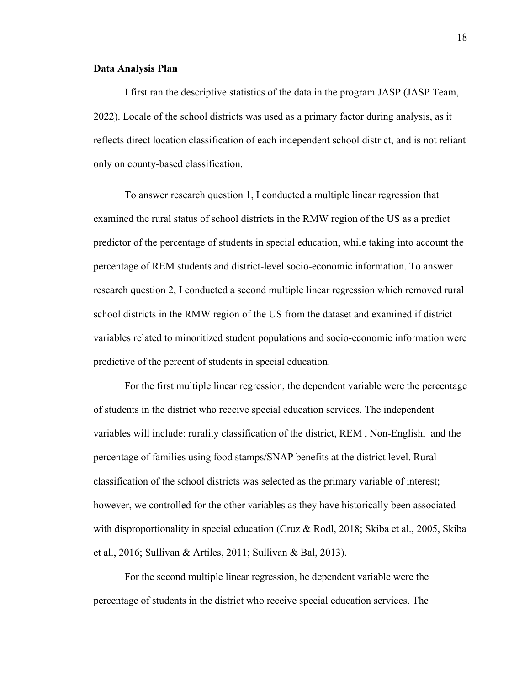#### **Data Analysis Plan**

I first ran the descriptive statistics of the data in the program JASP (JASP Team, 2022). Locale of the school districts was used as a primary factor during analysis, as it reflects direct location classification of each independent school district, and is not reliant only on county-based classification.

To answer research question 1, I conducted a multiple linear regression that examined the rural status of school districts in the RMW region of the US as a predict predictor of the percentage of students in special education, while taking into account the percentage of REM students and district-level socio-economic information. To answer research question 2, I conducted a second multiple linear regression which removed rural school districts in the RMW region of the US from the dataset and examined if district variables related to minoritized student populations and socio-economic information were predictive of the percent of students in special education.

For the first multiple linear regression, the dependent variable were the percentage of students in the district who receive special education services. The independent variables will include: rurality classification of the district, REM , Non-English, and the percentage of families using food stamps/SNAP benefits at the district level. Rural classification of the school districts was selected as the primary variable of interest; however, we controlled for the other variables as they have historically been associated with disproportionality in special education (Cruz & Rodl, 2018; Skiba et al., 2005, Skiba et al., 2016; Sullivan & Artiles, 2011; Sullivan & Bal, 2013).

For the second multiple linear regression, he dependent variable were the percentage of students in the district who receive special education services. The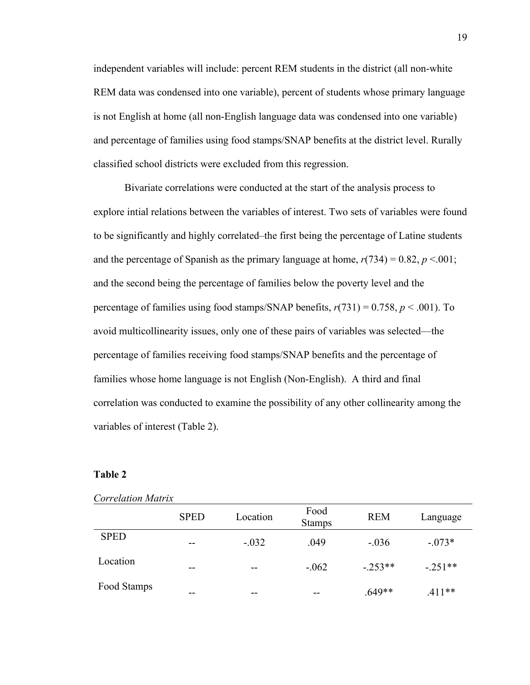independent variables will include: percent REM students in the district (all non-white REM data was condensed into one variable), percent of students whose primary language is not English at home (all non-English language data was condensed into one variable) and percentage of families using food stamps/SNAP benefits at the district level. Rurally classified school districts were excluded from this regression.

Bivariate correlations were conducted at the start of the analysis process to explore intial relations between the variables of interest. Two sets of variables were found to be significantly and highly correlated–the first being the percentage of Latine students and the percentage of Spanish as the primary language at home,  $r(734) = 0.82$ ,  $p < 0.001$ ; and the second being the percentage of families below the poverty level and the percentage of families using food stamps/SNAP benefits, *r*(731) = 0.758, *p* < .001). To avoid multicollinearity issues, only one of these pairs of variables was selected—the percentage of families receiving food stamps/SNAP benefits and the percentage of families whose home language is not English (Non-English). A third and final correlation was conducted to examine the possibility of any other collinearity among the variables of interest (Table 2).

### **Table 2**

|             | <b>SPED</b> | Location | Food<br><b>Stamps</b> | <b>REM</b> | Language  |
|-------------|-------------|----------|-----------------------|------------|-----------|
| <b>SPED</b> | --          | $-.032$  | .049                  | $-.036$    | $-.073*$  |
| Location    | --          | $- -$    | $-.062$               | $-.253**$  | $-.251**$ |
| Food Stamps | --          | --       | --                    | .649**     | $.411**$  |

#### *Correlation Matrix*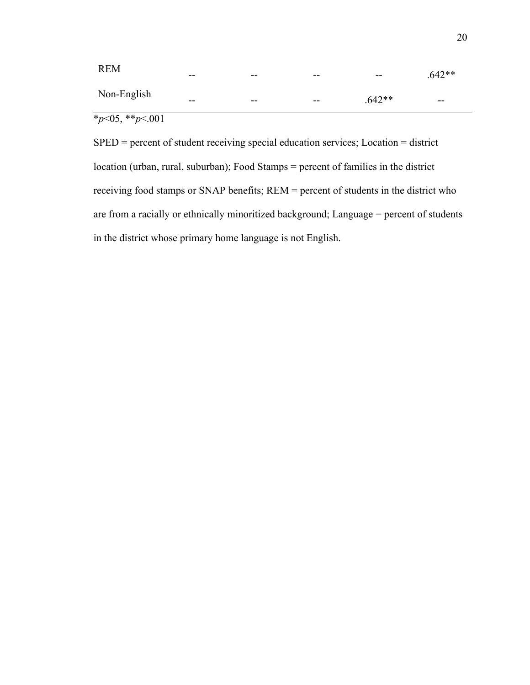| <b>REM</b>  | --    | $- -$ | $- -$ | $\overline{\phantom{m}}$ | $.642**$ |
|-------------|-------|-------|-------|--------------------------|----------|
| Non-English | $- -$ | $- -$ | $- -$ | $.642**$                 | $- -$    |

 $*_{p<05,**_{p<.001}}$ 

SPED = percent of student receiving special education services; Location = district location (urban, rural, suburban); Food Stamps = percent of families in the district receiving food stamps or SNAP benefits; REM = percent of students in the district who are from a racially or ethnically minoritized background; Language = percent of students in the district whose primary home language is not English.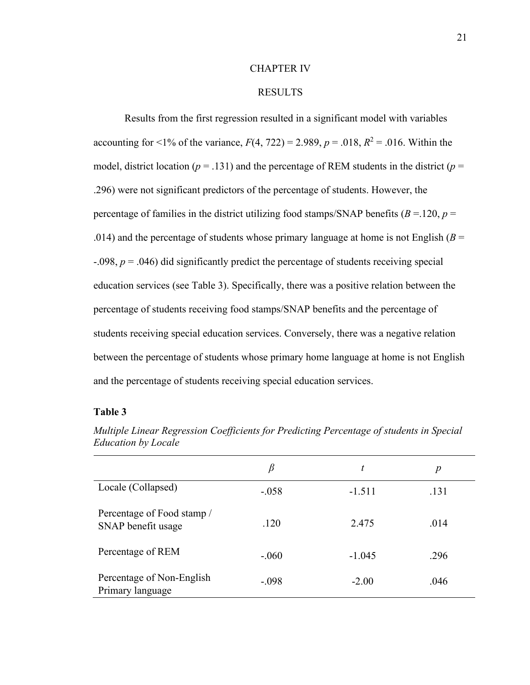#### CHAPTER IV

# RESULTS

Results from the first regression resulted in a significant model with variables accounting for <1% of the variance,  $F(4, 722) = 2.989$ ,  $p = .018$ ,  $R^2 = .016$ . Within the model, district location ( $p = .131$ ) and the percentage of REM students in the district ( $p =$ .296) were not significant predictors of the percentage of students. However, the percentage of families in the district utilizing food stamps/SNAP benefits  $(B = 120, p = 120)$ .014) and the percentage of students whose primary language at home is not English ( $B =$ -.098, *p* = .046) did significantly predict the percentage of students receiving special education services (see Table 3). Specifically, there was a positive relation between the percentage of students receiving food stamps/SNAP benefits and the percentage of students receiving special education services. Conversely, there was a negative relation between the percentage of students whose primary home language at home is not English and the percentage of students receiving special education services.

#### **Table 3**

|                                                  | β       | t        | p    |
|--------------------------------------------------|---------|----------|------|
| Locale (Collapsed)                               | $-.058$ | $-1.511$ | .131 |
| Percentage of Food stamp /<br>SNAP benefit usage | .120    | 2.475    | .014 |
| Percentage of REM                                | $-.060$ | $-1.045$ | .296 |
| Percentage of Non-English<br>Primary language    | $-.098$ | $-2.00$  | .046 |

*Multiple Linear Regression Coefficients for Predicting Percentage of students in Special Education by Locale*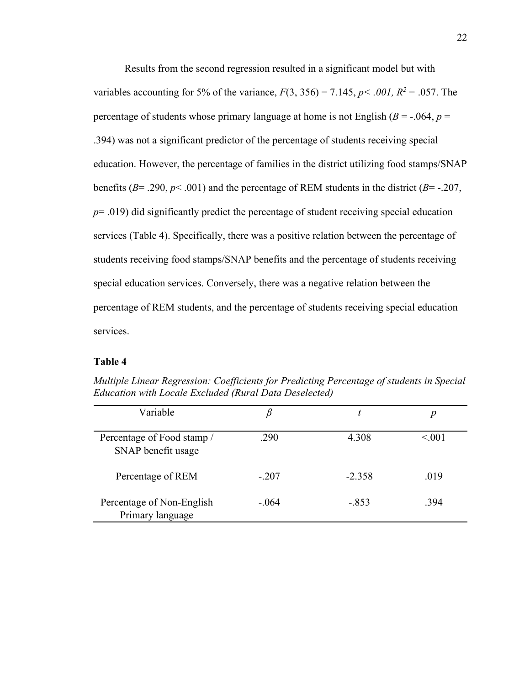Results from the second regression resulted in a significant model but with variables accounting for 5% of the variance,  $F(3, 356) = 7.145$ ,  $p < .001$ ,  $R^2 = .057$ . The percentage of students whose primary language at home is not English ( $B = -0.064$ ,  $p = 0.064$ ) .394) was not a significant predictor of the percentage of students receiving special education. However, the percentage of families in the district utilizing food stamps/SNAP benefits ( $B = .290$ ,  $p < .001$ ) and the percentage of REM students in the district ( $B = .207$ , *p*= .019) did significantly predict the percentage of student receiving special education services (Table 4). Specifically, there was a positive relation between the percentage of students receiving food stamps/SNAP benefits and the percentage of students receiving special education services. Conversely, there was a negative relation between the percentage of REM students, and the percentage of students receiving special education services.

# **Table 4**

| Variable                                         |         |          |         |
|--------------------------------------------------|---------|----------|---------|
| Percentage of Food stamp /<br>SNAP benefit usage | .290    | 4.308    | < 0.001 |
| Percentage of REM                                | $-.207$ | $-2.358$ | .019    |
| Percentage of Non-English<br>Primary language    | $-.064$ | $-.853$  | .394    |

*Multiple Linear Regression: Coefficients for Predicting Percentage of students in Special Education with Locale Excluded (Rural Data Deselected)*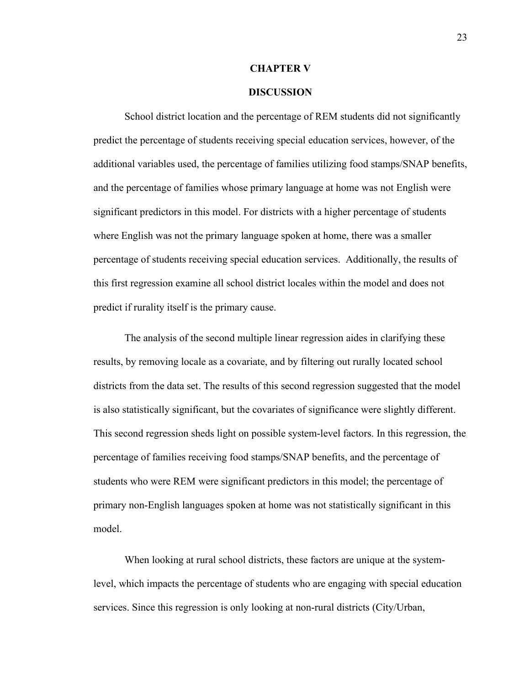#### **CHAPTER V**

## **DISCUSSION**

School district location and the percentage of REM students did not significantly predict the percentage of students receiving special education services, however, of the additional variables used, the percentage of families utilizing food stamps/SNAP benefits, and the percentage of families whose primary language at home was not English were significant predictors in this model. For districts with a higher percentage of students where English was not the primary language spoken at home, there was a smaller percentage of students receiving special education services. Additionally, the results of this first regression examine all school district locales within the model and does not predict if rurality itself is the primary cause.

The analysis of the second multiple linear regression aides in clarifying these results, by removing locale as a covariate, and by filtering out rurally located school districts from the data set. The results of this second regression suggested that the model is also statistically significant, but the covariates of significance were slightly different. This second regression sheds light on possible system-level factors. In this regression, the percentage of families receiving food stamps/SNAP benefits, and the percentage of students who were REM were significant predictors in this model; the percentage of primary non-English languages spoken at home was not statistically significant in this model.

When looking at rural school districts, these factors are unique at the systemlevel, which impacts the percentage of students who are engaging with special education services. Since this regression is only looking at non-rural districts (City/Urban,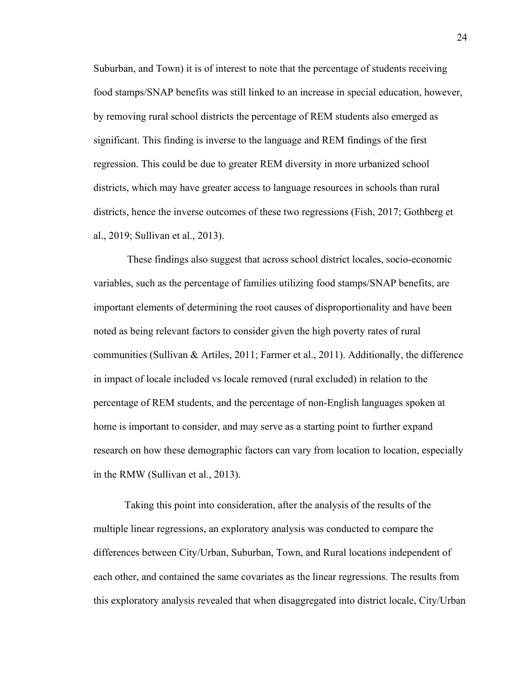Suburban, and Town) it is of interest to note that the percentage of students receiving food stamps/SNAP benefits was still linked to an increase in special education, however, by removing rural school districts the percentage of REM students also emerged as significant. This finding is inverse to the language and REM findings of the first regression. This could be due to greater REM diversity in more urbanized school districts, which may have greater access to language resources in schools than rural districts, hence the inverse outcomes of these two regressions (Fish, 2017; Gothberg et al., 2019; Sullivan et al., 2013).

These findings also suggest that across school district locales, socio-economic variables, such as the percentage of families utilizing food stamps/SNAP benefits, are important elements of determining the root causes of disproportionality and have been noted as being relevant factors to consider given the high poverty rates of rural communities (Sullivan & Artiles, 2011; Farmer et al., 2011). Additionally, the difference in impact of locale included vs locale removed (rural excluded) in relation to the percentage of REM students, and the percentage of non-English languages spoken at home is important to consider, and may serve as a starting point to further expand research on how these demographic factors can vary from location to location, especially in the RMW (Sullivan et al., 2013).

Taking this point into consideration, after the analysis of the results of the multiple linear regressions, an exploratory analysis was conducted to compare the differences between City/Urban, Suburban, Town, and Rural locations independent of each other, and contained the same covariates as the linear regressions. The results from this exploratory analysis revealed that when disaggregated into district locale, City/Urban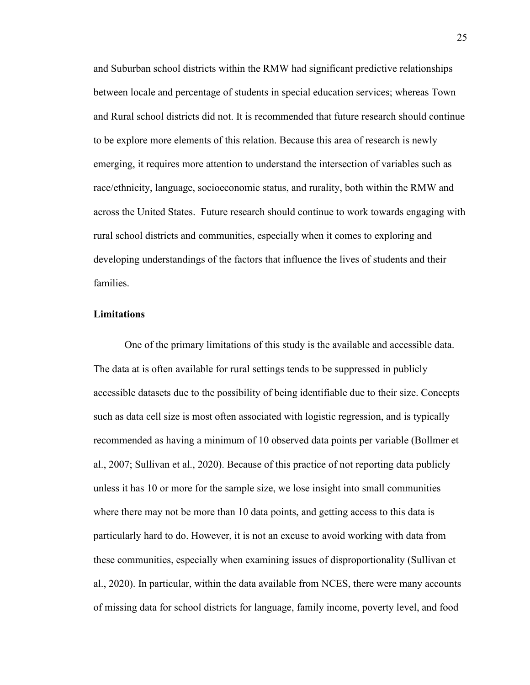and Suburban school districts within the RMW had significant predictive relationships between locale and percentage of students in special education services; whereas Town and Rural school districts did not. It is recommended that future research should continue to be explore more elements of this relation. Because this area of research is newly emerging, it requires more attention to understand the intersection of variables such as race/ethnicity, language, socioeconomic status, and rurality, both within the RMW and across the United States. Future research should continue to work towards engaging with rural school districts and communities, especially when it comes to exploring and developing understandings of the factors that influence the lives of students and their families.

### **Limitations**

One of the primary limitations of this study is the available and accessible data. The data at is often available for rural settings tends to be suppressed in publicly accessible datasets due to the possibility of being identifiable due to their size. Concepts such as data cell size is most often associated with logistic regression, and is typically recommended as having a minimum of 10 observed data points per variable (Bollmer et al., 2007; Sullivan et al., 2020). Because of this practice of not reporting data publicly unless it has 10 or more for the sample size, we lose insight into small communities where there may not be more than 10 data points, and getting access to this data is particularly hard to do. However, it is not an excuse to avoid working with data from these communities, especially when examining issues of disproportionality (Sullivan et al., 2020). In particular, within the data available from NCES, there were many accounts of missing data for school districts for language, family income, poverty level, and food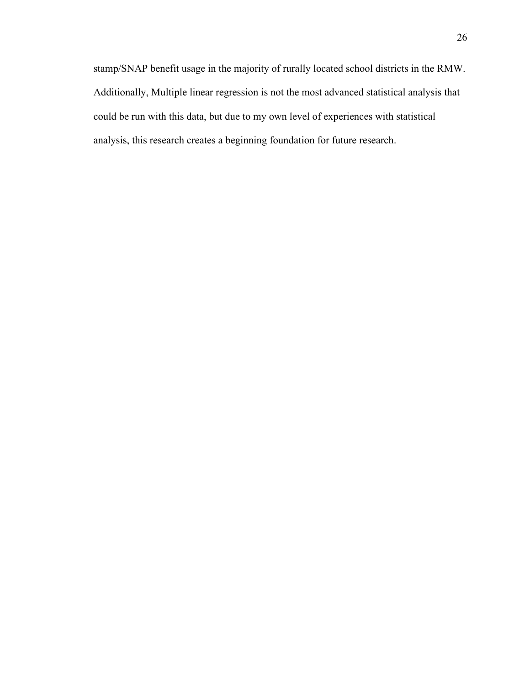stamp/SNAP benefit usage in the majority of rurally located school districts in the RMW. Additionally, Multiple linear regression is not the most advanced statistical analysis that could be run with this data, but due to my own level of experiences with statistical analysis, this research creates a beginning foundation for future research.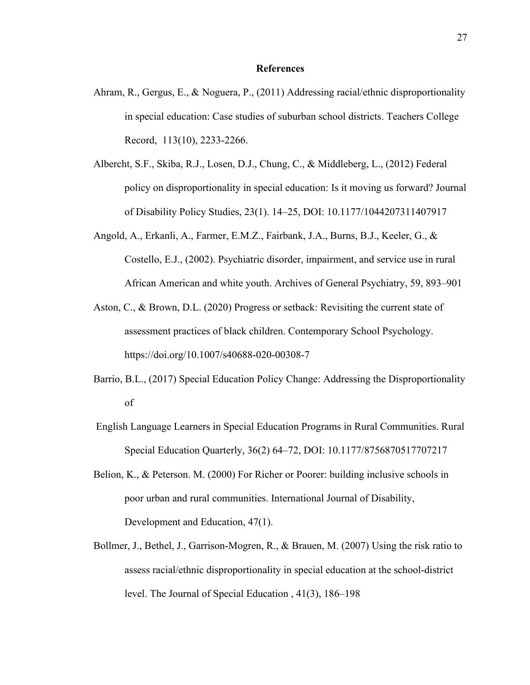#### **References**

- Ahram, R., Gergus, E., & Noguera, P., (2011) Addressing racial/ethnic disproportionality in special education: Case studies of suburban school districts. Teachers College Record, 113(10), 2233-2266.
- Albercht, S.F., Skiba, R.J., Losen, D.J., Chung, C., & Middleberg, L., (2012) Federal policy on disproportionality in special education: Is it moving us forward? Journal of Disability Policy Studies, 23(1). 14–25, DOI: 10.1177/1044207311407917
- Angold, A., Erkanli, A., Farmer, E.M.Z., Fairbank, J.A., Burns, B.J., Keeler, G., & Costello, E.J., (2002). Psychiatric disorder, impairment, and service use in rural African American and white youth. Archives of General Psychiatry, 59, 893–901
- Aston, C., & Brown, D.L. (2020) Progress or setback: Revisiting the current state of assessment practices of black children. Contemporary School Psychology. https://doi.org/10.1007/s40688-020-00308-7
- Barrio, B.L., (2017) Special Education Policy Change: Addressing the Disproportionality of
- English Language Learners in Special Education Programs in Rural Communities. Rural Special Education Quarterly, 36(2) 64–72, DOI: 10.1177/8756870517707217
- Belion, K., & Peterson. M. (2000) For Richer or Poorer: building inclusive schools in poor urban and rural communities. International Journal of Disability, Development and Education, 47(1).
- Bollmer, J., Bethel, J., Garrison-Mogren, R., & Brauen, M. (2007) Using the risk ratio to assess racial/ethnic disproportionality in special education at the school-district level. The Journal of Special Education , 41(3), 186–198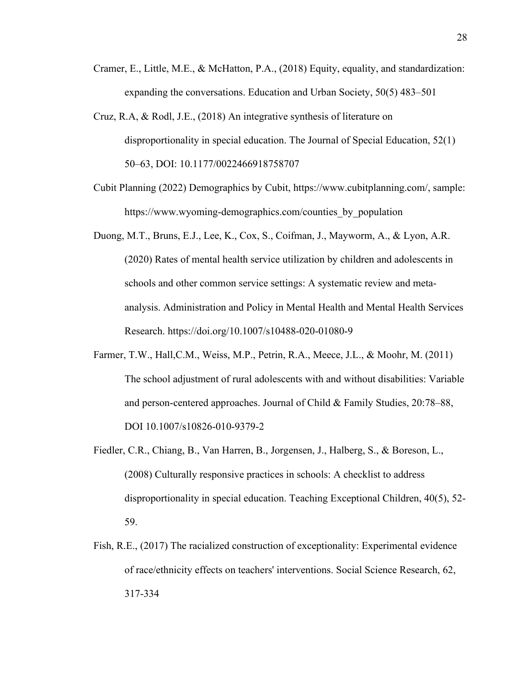- Cramer, E., Little, M.E., & McHatton, P.A., (2018) Equity, equality, and standardization: expanding the conversations. Education and Urban Society, 50(5) 483–501
- Cruz, R.A, & Rodl, J.E., (2018) An integrative synthesis of literature on disproportionality in special education. The Journal of Special Education, 52(1) 50–63, DOI: 10.1177/0022466918758707
- Cubit Planning (2022) Demographics by Cubit, https://www.cubitplanning.com/, sample: https://www.wyoming-demographics.com/counties by population
- Duong, M.T., Bruns, E.J., Lee, K., Cox, S., Coifman, J., Mayworm, A., & Lyon, A.R. (2020) Rates of mental health service utilization by children and adolescents in schools and other common service settings: A systematic review and metaanalysis. Administration and Policy in Mental Health and Mental Health Services Research. https://doi.org/10.1007/s10488-020-01080-9
- Farmer, T.W., Hall,C.M., Weiss, M.P., Petrin, R.A., Meece, J.L., & Moohr, M. (2011) The school adjustment of rural adolescents with and without disabilities: Variable and person-centered approaches. Journal of Child & Family Studies, 20:78–88, DOI 10.1007/s10826-010-9379-2
- Fiedler, C.R., Chiang, B., Van Harren, B., Jorgensen, J., Halberg, S., & Boreson, L., (2008) Culturally responsive practices in schools: A checklist to address disproportionality in special education. Teaching Exceptional Children, 40(5), 52- 59.
- Fish, R.E., (2017) The racialized construction of exceptionality: Experimental evidence of race/ethnicity effects on teachers' interventions. Social Science Research, 62, 317-334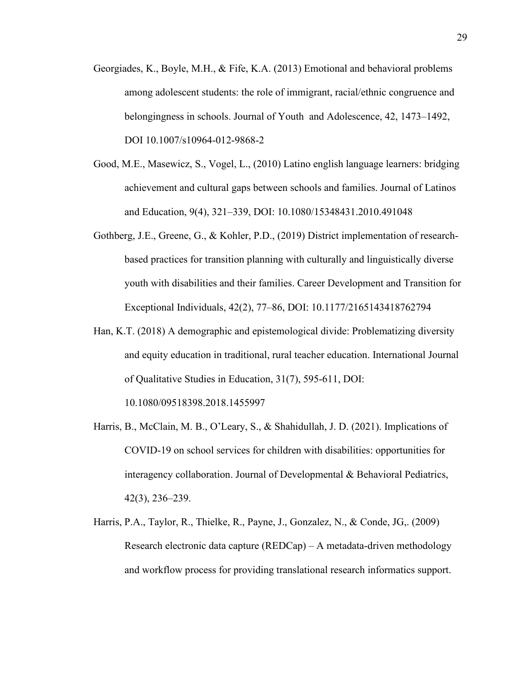- Georgiades, K., Boyle, M.H., & Fife, K.A. (2013) Emotional and behavioral problems among adolescent students: the role of immigrant, racial/ethnic congruence and belongingness in schools. Journal of Youth and Adolescence, 42, 1473–1492, DOI 10.1007/s10964-012-9868-2
- Good, M.E., Masewicz, S., Vogel, L., (2010) Latino english language learners: bridging achievement and cultural gaps between schools and families. Journal of Latinos and Education, 9(4), 321–339, DOI: 10.1080/15348431.2010.491048
- Gothberg, J.E., Greene, G., & Kohler, P.D., (2019) District implementation of researchbased practices for transition planning with culturally and linguistically diverse youth with disabilities and their families. Career Development and Transition for Exceptional Individuals, 42(2), 77–86, DOI: 10.1177/2165143418762794
- Han, K.T. (2018) A demographic and epistemological divide: Problematizing diversity and equity education in traditional, rural teacher education. International Journal of Qualitative Studies in Education, 31(7), 595-611, DOI:

10.1080/09518398.2018.1455997

- Harris, B., McClain, M. B., O'Leary, S., & Shahidullah, J. D. (2021). Implications of COVID-19 on school services for children with disabilities: opportunities for interagency collaboration. Journal of Developmental & Behavioral Pediatrics, 42(3), 236–239.
- Harris, P.A., Taylor, R., Thielke, R., Payne, J., Gonzalez, N., & Conde, JG,. (2009) Research electronic data capture (REDCap) – A metadata-driven methodology and workflow process for providing translational research informatics support.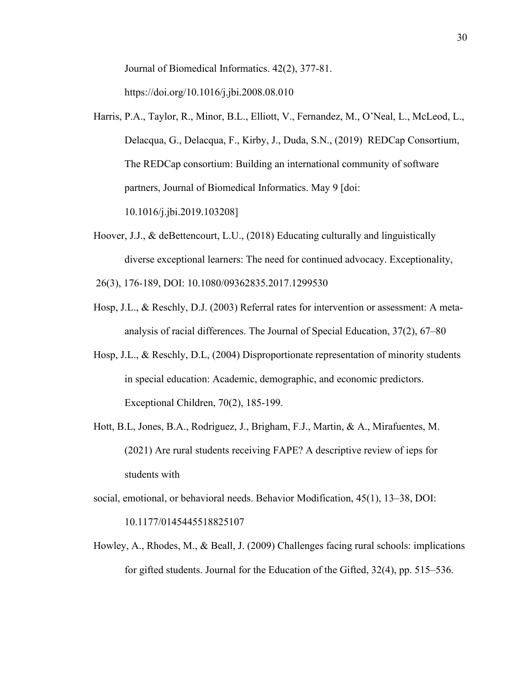Journal of Biomedical Informatics. 42(2), 377-81.

https://doi.org/10.1016/j.jbi.2008.08.010

- Harris, P.A., Taylor, R., Minor, B.L., Elliott, V., Fernandez, M., O'Neal, L., McLeod, L., Delacqua, G., Delacqua, F., Kirby, J., Duda, S.N., (2019) REDCap Consortium, The REDCap consortium: Building an international community of software partners, Journal of Biomedical Informatics. May 9 [doi: 10.1016/j.jbi.2019.103208]
- Hoover, J.J., & deBettencourt, L.U., (2018) Educating culturally and linguistically diverse exceptional learners: The need for continued advocacy. Exceptionality,

26(3), 176-189, DOI: 10.1080/09362835.2017.1299530

- Hosp, J.L., & Reschly, D.J. (2003) Referral rates for intervention or assessment: A metaanalysis of racial differences. The Journal of Special Education, 37(2), 67–80
- Hosp, J.L., & Reschly, D.L, (2004) Disproportionate representation of minority students in special education: Academic, demographic, and economic predictors. Exceptional Children, 70(2), 185-199.
- Hott, B.L, Jones, B.A., Rodriguez, J., Brigham, F.J., Martin, & A., Mirafuentes, M. (2021) Are rural students receiving FAPE? A descriptive review of ieps for students with
- social, emotional, or behavioral needs. Behavior Modification, 45(1), 13–38, DOI: 10.1177/0145445518825107
- Howley, A., Rhodes, M., & Beall, J. (2009) Challenges facing rural schools: implications for gifted students. Journal for the Education of the Gifted, 32(4), pp. 515–536.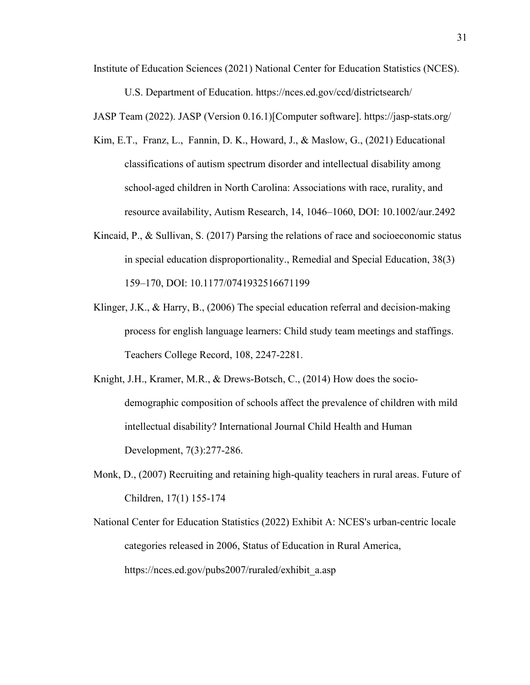Institute of Education Sciences (2021) National Center for Education Statistics (NCES).

U.S. Department of Education. https://nces.ed.gov/ccd/districtsearch/

JASP Team (2022). JASP (Version 0.16.1)[Computer software]. https://jasp-stats.org/

- Kim, E.T., Franz, L., Fannin, D. K., Howard, J., & Maslow, G., (2021) Educational classifications of autism spectrum disorder and intellectual disability among school-aged children in North Carolina: Associations with race, rurality, and resource availability, Autism Research, 14, 1046–1060, DOI: 10.1002/aur.2492
- Kincaid, P., & Sullivan, S. (2017) Parsing the relations of race and socioeconomic status in special education disproportionality., Remedial and Special Education, 38(3) 159–170, DOI: 10.1177/0741932516671199
- Klinger, J.K., & Harry, B., (2006) The special education referral and decision-making process for english language learners: Child study team meetings and staffings. Teachers College Record, 108, 2247-2281.
- Knight, J.H., Kramer, M.R., & Drews-Botsch, C., (2014) How does the sociodemographic composition of schools affect the prevalence of children with mild intellectual disability? International Journal Child Health and Human Development, 7(3):277-286.
- Monk, D., (2007) Recruiting and retaining high-quality teachers in rural areas. Future of Children, 17(1) 155-174
- National Center for Education Statistics (2022) Exhibit A: NCES's urban-centric locale categories released in 2006, Status of Education in Rural America, https://nces.ed.gov/pubs2007/ruraled/exhibit\_a.asp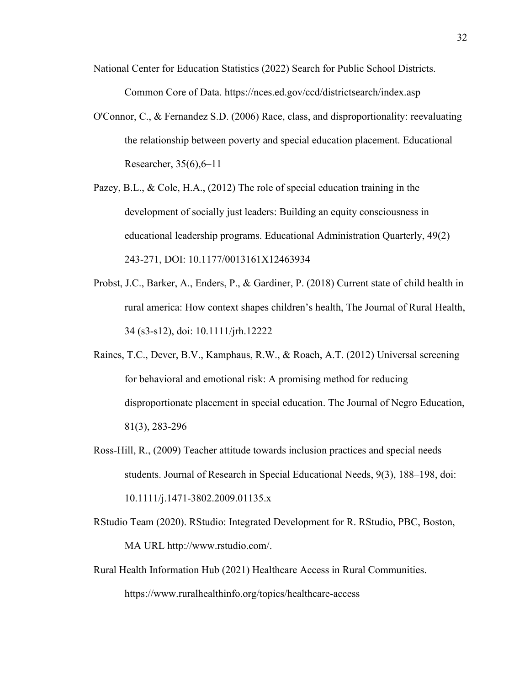- National Center for Education Statistics (2022) Search for Public School Districts. Common Core of Data. https://nces.ed.gov/ccd/districtsearch/index.asp
- O'Connor, C., & Fernandez S.D. (2006) Race, class, and disproportionality: reevaluating the relationship between poverty and special education placement. Educational Researcher, 35(6),6–11
- Pazey, B.L., & Cole, H.A., (2012) The role of special education training in the development of socially just leaders: Building an equity consciousness in educational leadership programs. Educational Administration Quarterly, 49(2) 243-271, DOI: 10.1177/0013161X12463934
- Probst, J.C., Barker, A., Enders, P., & Gardiner, P. (2018) Current state of child health in rural america: How context shapes children's health, The Journal of Rural Health, 34 (s3-s12), doi: 10.1111/jrh.12222
- Raines, T.C., Dever, B.V., Kamphaus, R.W., & Roach, A.T. (2012) Universal screening for behavioral and emotional risk: A promising method for reducing disproportionate placement in special education. The Journal of Negro Education, 81(3), 283-296
- Ross-Hill, R., (2009) Teacher attitude towards inclusion practices and special needs students. Journal of Research in Special Educational Needs, 9(3), 188–198, doi: 10.1111/j.1471-3802.2009.01135.x
- RStudio Team (2020). RStudio: Integrated Development for R. RStudio, PBC, Boston, MA URL http://www.rstudio.com/.
- Rural Health Information Hub (2021) Healthcare Access in Rural Communities. https://www.ruralhealthinfo.org/topics/healthcare-access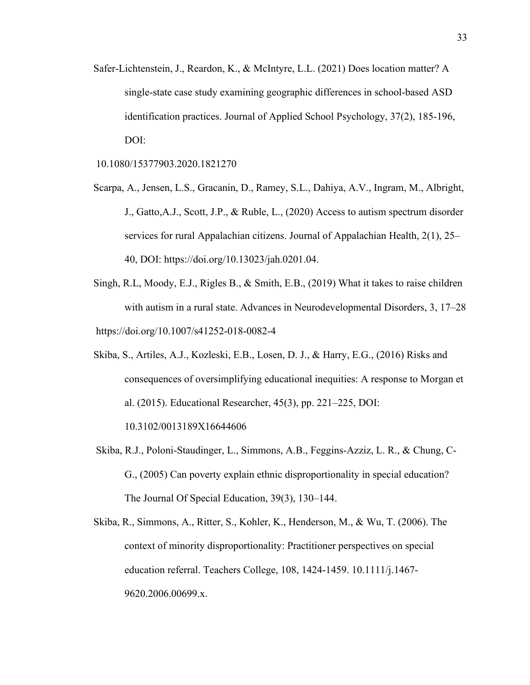- Safer-Lichtenstein, J., Reardon, K., & McIntyre, L.L. (2021) Does location matter? A single-state case study examining geographic differences in school-based ASD identification practices. Journal of Applied School Psychology, 37(2), 185-196, DOI:
- 10.1080/15377903.2020.1821270
- Scarpa, A., Jensen, L.S., Gracanin, D., Ramey, S.L., Dahiya, A.V., Ingram, M., Albright, J., Gatto,A.J., Scott, J.P., & Ruble, L., (2020) Access to autism spectrum disorder services for rural Appalachian citizens. Journal of Appalachian Health, 2(1), 25– 40, DOI: https://doi.org/10.13023/jah.0201.04.
- Singh, R.L, Moody, E.J., Rigles B., & Smith, E.B., (2019) What it takes to raise children with autism in a rural state. Advances in Neurodevelopmental Disorders, 3, 17–28 https://doi.org/10.1007/s41252-018-0082-4
- Skiba, S., Artiles, A.J., Kozleski, E.B., Losen, D. J., & Harry, E.G., (2016) Risks and consequences of oversimplifying educational inequities: A response to Morgan et al. (2015). Educational Researcher, 45(3), pp. 221–225, DOI:

10.3102/0013189X16644606

- Skiba, R.J., Poloni-Staudinger, L., Simmons, A.B., Feggins-Azziz, L. R., & Chung, C-G., (2005) Can poverty explain ethnic disproportionality in special education? The Journal Of Special Education, 39(3), 130–144.
- Skiba, R., Simmons, A., Ritter, S., Kohler, K., Henderson, M., & Wu, T. (2006). The context of minority disproportionality: Practitioner perspectives on special education referral. Teachers College, 108, 1424-1459. 10.1111/j.1467- 9620.2006.00699.x.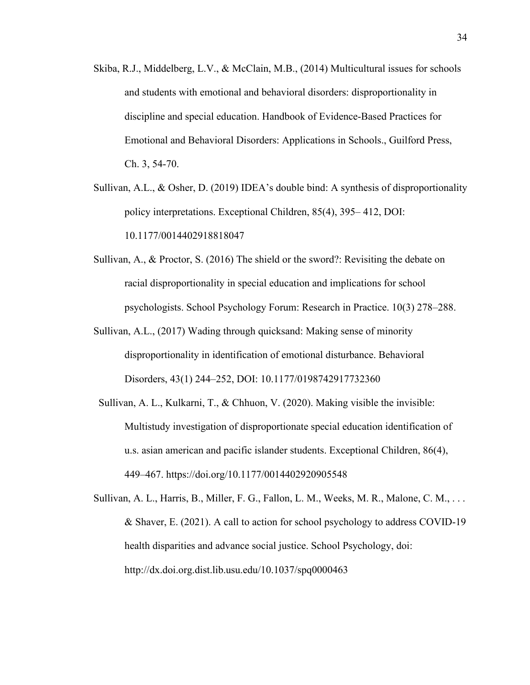- Skiba, R.J., Middelberg, L.V., & McClain, M.B., (2014) Multicultural issues for schools and students with emotional and behavioral disorders: disproportionality in discipline and special education. Handbook of Evidence-Based Practices for Emotional and Behavioral Disorders: Applications in Schools., Guilford Press, Ch. 3, 54-70.
- Sullivan, A.L., & Osher, D. (2019) IDEA's double bind: A synthesis of disproportionality policy interpretations. Exceptional Children, 85(4), 395– 412, DOI: 10.1177/0014402918818047
- Sullivan, A., & Proctor, S. (2016) The shield or the sword?: Revisiting the debate on racial disproportionality in special education and implications for school psychologists. School Psychology Forum: Research in Practice. 10(3) 278–288.
- Sullivan, A.L., (2017) Wading through quicksand: Making sense of minority disproportionality in identification of emotional disturbance. Behavioral Disorders, 43(1) 244–252, DOI: 10.1177/0198742917732360
- Sullivan, A. L., Kulkarni, T., & Chhuon, V. (2020). Making visible the invisible: Multistudy investigation of disproportionate special education identification of u.s. asian american and pacific islander students. Exceptional Children, 86(4), 449–467. https://doi.org/10.1177/0014402920905548
- Sullivan, A. L., Harris, B., Miller, F. G., Fallon, L. M., Weeks, M. R., Malone, C. M., . . . & Shaver, E. (2021). A call to action for school psychology to address COVID-19 health disparities and advance social justice. School Psychology, doi: http://dx.doi.org.dist.lib.usu.edu/10.1037/spq0000463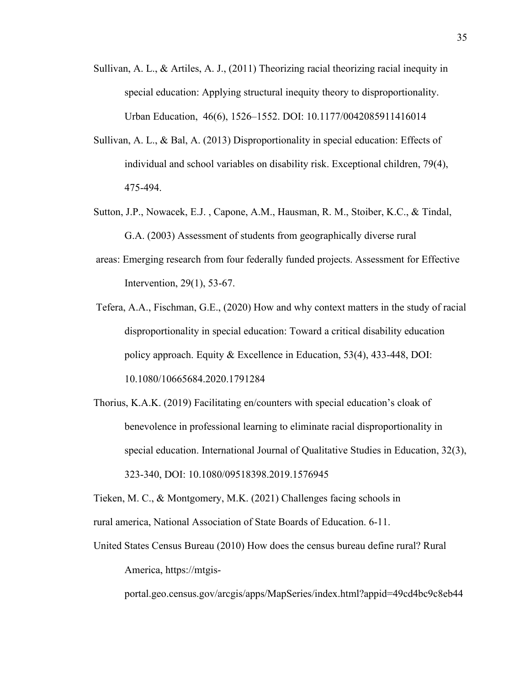- Sullivan, A. L., & Artiles, A. J.,  $(2011)$  Theorizing racial theorizing racial inequity in special education: Applying structural inequity theory to disproportionality. Urban Education, 46(6), 1526–1552. DOI: 10.1177/0042085911416014
- Sullivan, A. L., & Bal, A. (2013) Disproportionality in special education: Effects of individual and school variables on disability risk. Exceptional children, 79(4), 475-494.
- Sutton, J.P., Nowacek, E.J. , Capone, A.M., Hausman, R. M., Stoiber, K.C., & Tindal, G.A. (2003) Assessment of students from geographically diverse rural
- areas: Emerging research from four federally funded projects. Assessment for Effective Intervention, 29(1), 53-67.
- Tefera, A.A., Fischman, G.E., (2020) How and why context matters in the study of racial disproportionality in special education: Toward a critical disability education policy approach. Equity & Excellence in Education, 53(4), 433-448, DOI: 10.1080/10665684.2020.1791284
- Thorius, K.A.K. (2019) Facilitating en/counters with special education's cloak of benevolence in professional learning to eliminate racial disproportionality in special education. International Journal of Qualitative Studies in Education, 32(3), 323-340, DOI: 10.1080/09518398.2019.1576945

Tieken, M. C., & Montgomery, M.K. (2021) Challenges facing schools in rural america, National Association of State Boards of Education. 6-11.

United States Census Bureau (2010) How does the census bureau define rural? Rural America, https://mtgis-

portal.geo.census.gov/arcgis/apps/MapSeries/index.html?appid=49cd4bc9c8eb44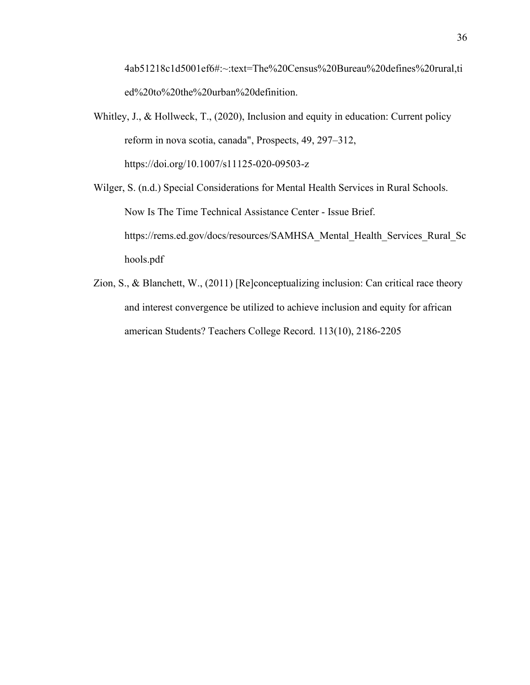4ab51218c1d5001ef6#:~:text=The%20Census%20Bureau%20defines%20rural,ti ed%20to%20the%20urban%20definition.

Whitley, J., & Hollweck, T., (2020), Inclusion and equity in education: Current policy reform in nova scotia, canada", Prospects, 49, 297–312, https://doi.org/10.1007/s11125-020-09503-z

Wilger, S. (n.d.) Special Considerations for Mental Health Services in Rural Schools. Now Is The Time Technical Assistance Center - Issue Brief. https://rems.ed.gov/docs/resources/SAMHSA\_Mental\_Health\_Services\_Rural\_Sc hools.pdf

Zion, S., & Blanchett, W., (2011) [Re]conceptualizing inclusion: Can critical race theory and interest convergence be utilized to achieve inclusion and equity for african american Students? Teachers College Record. 113(10), 2186-2205